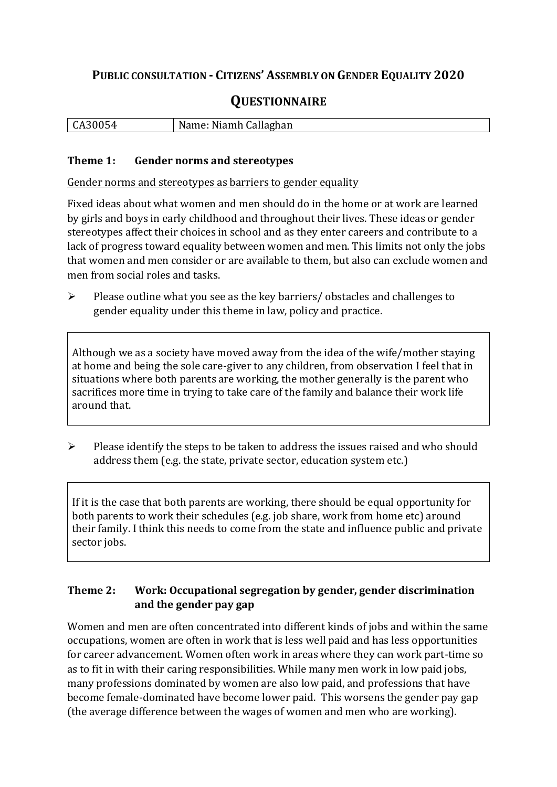## **PUBLIC CONSULTATION - CITIZENS' ASSEMBLY ON GENDER EQUALITY 2020**

# **QUESTIONNAIRE**

|  | CA30054 | Name: Niamh Callaghan |
|--|---------|-----------------------|
|--|---------|-----------------------|

#### **Theme 1: Gender norms and stereotypes**

Gender norms and stereotypes as barriers to gender equality

Fixed ideas about what women and men should do in the home or at work are learned by girls and boys in early childhood and throughout their lives. These ideas or gender stereotypes affect their choices in school and as they enter careers and contribute to a lack of progress toward equality between women and men. This limits not only the jobs that women and men consider or are available to them, but also can exclude women and men from social roles and tasks.

➢ Please outline what you see as the key barriers/ obstacles and challenges to gender equality under this theme in law, policy and practice.

Although we as a society have moved away from the idea of the wife/mother staying at home and being the sole care-giver to any children, from observation I feel that in situations where both parents are working, the mother generally is the parent who sacrifices more time in trying to take care of the family and balance their work life around that.

➢ Please identify the steps to be taken to address the issues raised and who should address them (e.g. the state, private sector, education system etc.)

If it is the case that both parents are working, there should be equal opportunity for both parents to work their schedules (e.g. job share, work from home etc) around their family. I think this needs to come from the state and influence public and private sector jobs.

#### **Theme 2: Work: Occupational segregation by gender, gender discrimination and the gender pay gap**

Women and men are often concentrated into different kinds of jobs and within the same occupations, women are often in work that is less well paid and has less opportunities for career advancement. Women often work in areas where they can work part-time so as to fit in with their caring responsibilities. While many men work in low paid jobs, many professions dominated by women are also low paid, and professions that have become female-dominated have become lower paid. This worsens the gender pay gap (the average difference between the wages of women and men who are working).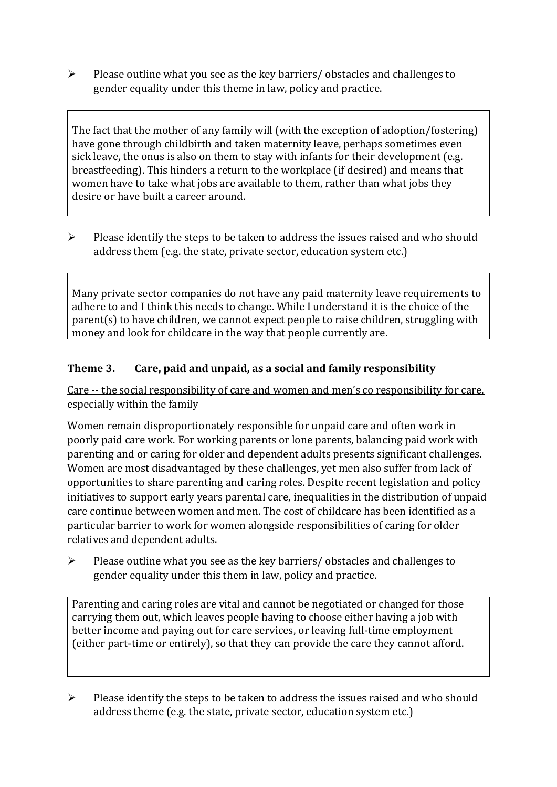➢ Please outline what you see as the key barriers/ obstacles and challenges to gender equality under this theme in law, policy and practice.

The fact that the mother of any family will (with the exception of adoption/fostering) have gone through childbirth and taken maternity leave, perhaps sometimes even sick leave, the onus is also on them to stay with infants for their development (e.g. breastfeeding). This hinders a return to the workplace (if desired) and means that women have to take what jobs are available to them, rather than what jobs they desire or have built a career around.

➢ Please identify the steps to be taken to address the issues raised and who should address them (e.g. the state, private sector, education system etc.)

Many private sector companies do not have any paid maternity leave requirements to adhere to and I think this needs to change. While I understand it is the choice of the parent(s) to have children, we cannot expect people to raise children, struggling with money and look for childcare in the way that people currently are.

#### **Theme 3. Care, paid and unpaid, as a social and family responsibility**

Care -- the social responsibility of care and women and men's co responsibility for care, especially within the family

Women remain disproportionately responsible for unpaid care and often work in poorly paid care work. For working parents or [lone parents,](https://aran.library.nuigalway.ie/bitstream/handle/10379/6044/Millar_and_Crosse_Activation_Report.pdf?sequence=1&isAllowed=y) balancing paid work with parenting and or caring for older and dependent adults presents significant challenges. Women are [most disadvantaged by these challenges,](https://eige.europa.eu/gender-equality-index/game/IE/W) yet men also suffer from lack of opportunities to share parenting and caring roles. Despite recent legislation and policy initiatives to support early years parental care, [inequalities in the distribution of unpaid](https://www.ihrec.ie/app/uploads/2019/07/Caring-and-Unpaid-Work-in-Ireland_Final.pdf)  [care](https://www.ihrec.ie/app/uploads/2019/07/Caring-and-Unpaid-Work-in-Ireland_Final.pdf) continue between women and men. The cost of childcare has been identified as a particular barrier to work for women alongside responsibilities of caring for older relatives and dependent adults.

➢ Please outline what you see as the key barriers/ obstacles and challenges to gender equality under this them in law, policy and practice.

Parenting and caring roles are vital and cannot be negotiated or changed for those carrying them out, which leaves people having to choose either having a job with better income and paying out for care services, or leaving full-time employment (either part-time or entirely), so that they can provide the care they cannot afford.

➢ Please identify the steps to be taken to address the issues raised and who should address theme (e.g. the state, private sector, education system etc.)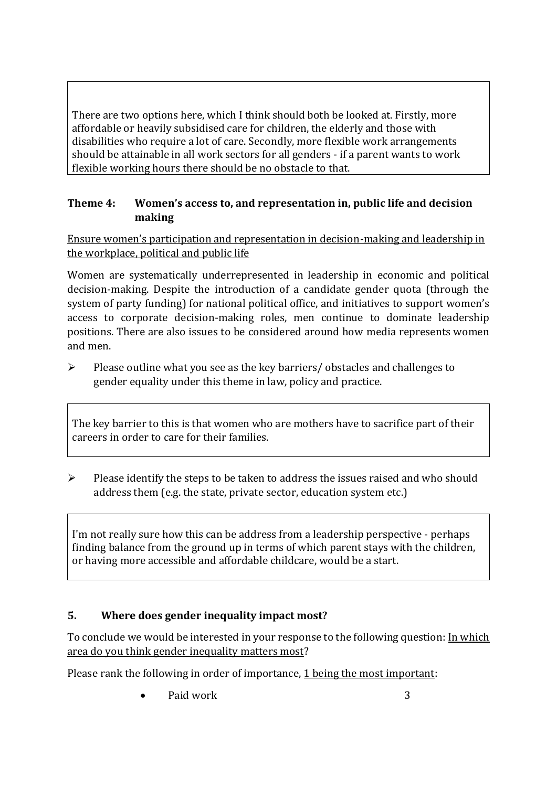There are two options here, which I think should both be looked at. Firstly, more affordable or heavily subsidised care for children, the elderly and those with disabilities who require a lot of care. Secondly, more flexible work arrangements should be attainable in all work sectors for all genders - if a parent wants to work flexible working hours there should be no obstacle to that.

#### **Theme 4: Women's access to, and representation in, public life and decision making**

Ensure women's participation and representation in decision-making and leadership in the workplace, political and public life

Women are systematically underrepresented in leadership in [economic](https://eige.europa.eu/gender-equality-index/2019/compare-countries/power/2/bar) and [political](https://eige.europa.eu/gender-equality-index/2019/compare-countries/power/1/bar)  [decision-](https://eige.europa.eu/gender-equality-index/2019/compare-countries/power/1/bar)making. Despite the introduction of a candidate gender quota (through the system of party funding) for national political office, and [initiatives](https://betterbalance.ie/) to support women's access to corporate decision-making roles, men continue to dominate leadership positions. There are also issues to be considered around how media represents women and men.

➢ Please outline what you see as the key barriers/ obstacles and challenges to gender equality under this theme in law, policy and practice.

The key barrier to this is that women who are mothers have to sacrifice part of their careers in order to care for their families.

 $\triangleright$  Please identify the steps to be taken to address the issues raised and who should address them (e.g. the state, private sector, education system etc.)

I'm not really sure how this can be address from a leadership perspective - perhaps finding balance from the ground up in terms of which parent stays with the children, or having more accessible and affordable childcare, would be a start.

### **5. Where does gender inequality impact most?**

To conclude we would be interested in your response to the following question: In which area do you think gender inequality matters most?

Please rank the following in order of importance, 1 being the most important:

Paid work 3